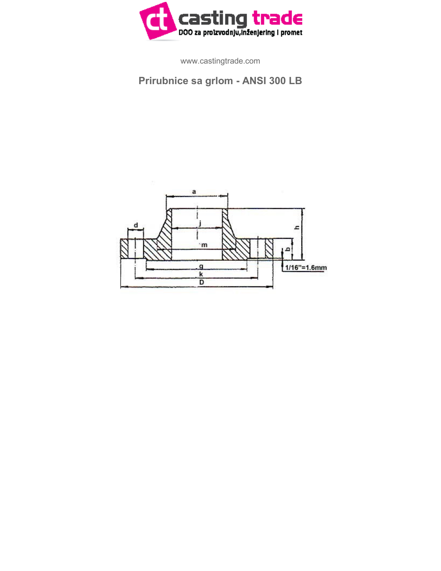

www.castingtrade.com

## **Prirubnice sa grlom - ANSI 300 LB**